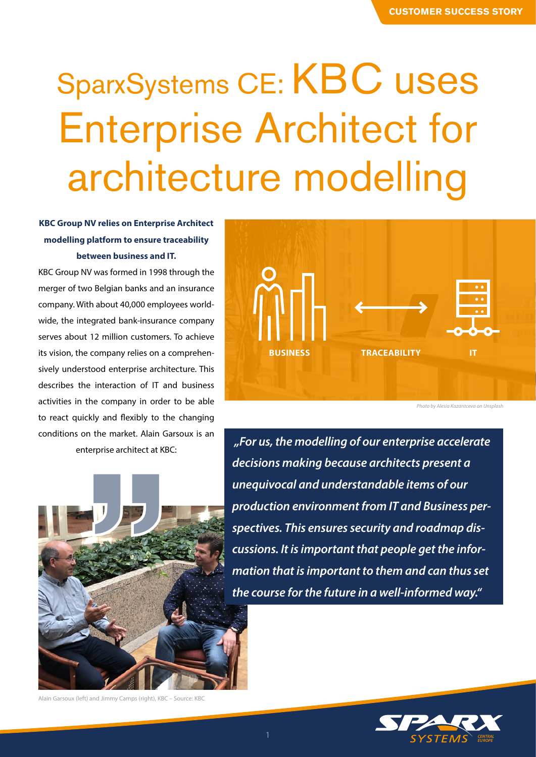# SparxSystems CE: KBC uses Enterprise Architect for architecture modelling

# **KBC Group NV relies on Enterprise Architect modelling platform to ensure traceability between business and IT.**

KBC Group NV was formed in 1998 through the merger of two Belgian banks and an insurance company. With about 40,000 employees worldwide, the integrated bank-insurance company serves about 12 million customers. To achieve its vision, the company relies on a comprehensively understood enterprise architecture. This describes the interaction of IT and business activities in the company in order to be able to react quickly and flexibly to the changing conditions on the market. Alain Garsoux is an enterprise architect at KBC:



*Photo by Alesia Kazantceva on Unsplash*



 *"For us, the modelling of our enterprise accelerate decisions making because architects present a unequivocal and understandable items of our production environment from IT and Business perspectives. This ensures security and roadmap discussions. It is important that people get the information that is important to them and can thus set the course for the future in a well-informed way."*



Alain Garsoux (left) and Jimmy Camps (right), KBC – Source: KBC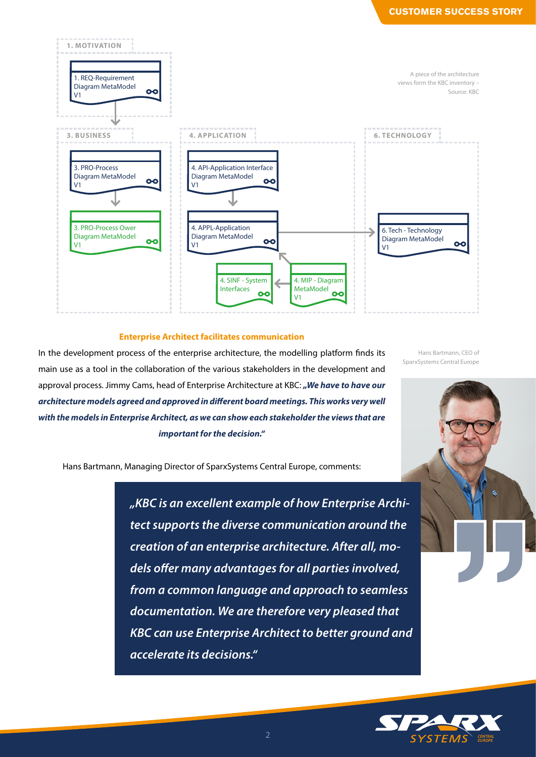

### **Enterprise Architect facilitates communication**

In the development process of the enterprise architecture, the modelling platform finds its main use as a tool in the collaboration of the various stakeholders in the development and approval process. Jimmy Cams, head of Enterprise Architecture at KBC: "We have to have our *architecture models agreed and approved in different board meetings. This works very well with the models in Enterprise Architect, as we can show each stakeholder the views that are important for the decision."*

Hans Bartmann, CEO of SparxSystems Central Europe



*CENTRAL*   $2$   $SYSTEMS$   $^{CHTRA}$ 

Hans Bartmann, Managing Director of SparxSystems Central Europe, comments:

*"KBC is an excellent example of how Enterprise Architect supports the diverse communication around the creation of an enterprise architecture. After all, models offer many advantages for all parties involved, from a common language and approach to seamless documentation. We are therefore very pleased that KBC can use Enterprise Architect to better ground and accelerate its decisions."*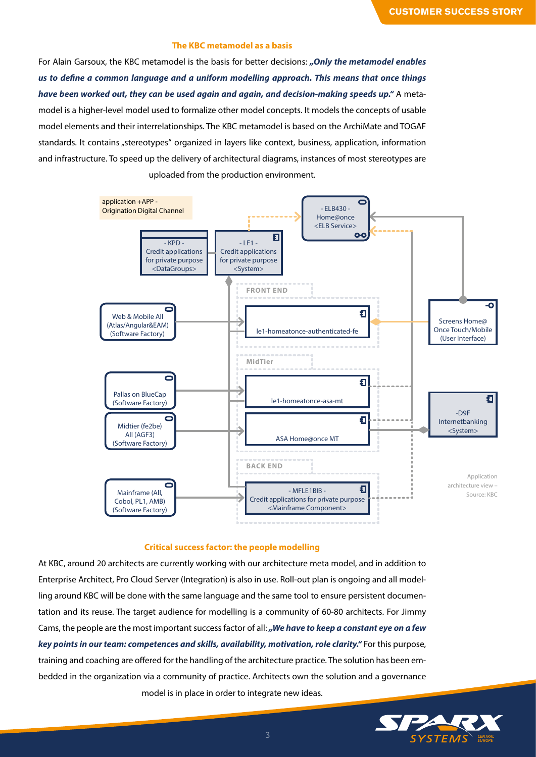## **The KBC metamodel as a basis**

For Alain Garsoux, the KBC metamodel is the basis for better decisions: *"Only the metamodel enables us to define a common language and a uniform modelling approach. This means that once things have been worked out, they can be used again and again, and decision-making speeds up."* A metamodel is a higher-level model used to formalize other model concepts. It models the concepts of usable model elements and their interrelationships. The KBC metamodel is based on the ArchiMate and TOGAF standards. It contains "stereotypes" organized in layers like context, business, application, information and infrastructure. To speed up the delivery of architectural diagrams, instances of most stereotypes are uploaded from the production environment.



#### **Critical success factor: the people modelling**

At KBC, around 20 architects are currently working with our architecture meta model, and in addition to Enterprise Architect, Pro Cloud Server (Integration) is also in use. Roll-out plan is ongoing and all modelling around KBC will be done with the same language and the same tool to ensure persistent documentation and its reuse. The target audience for modelling is a community of 60-80 architects. For Jimmy Cams, the people are the most important success factor of all: *"We have to keep a constant eye on a few key points in our team: competences and skills, availability, motivation, role clarity."* For this purpose, training and coaching are offered for the handling of the architecture practice. The solution has been embedded in the organization via a community of practice. Architects own the solution and a governance model is in place in order to integrate new ideas.

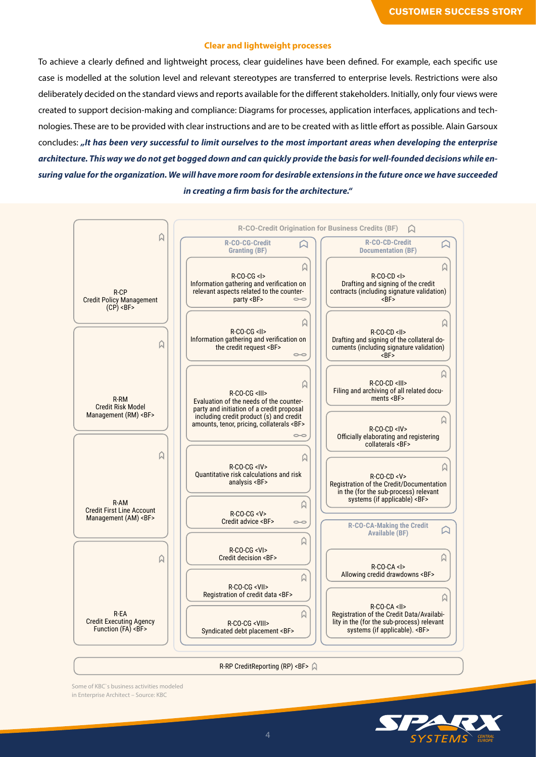## **Clear and lightweight processes**

To achieve a clearly defined and lightweight process, clear guidelines have been defined. For example, each specific use case is modelled at the solution level and relevant stereotypes are transferred to enterprise levels. Restrictions were also deliberately decided on the standard views and reports available for the different stakeholders. Initially, only four views were created to support decision-making and compliance: Diagrams for processes, application interfaces, applications and technologies. These are to be provided with clear instructions and are to be created with as little effort as possible. Alain Garsoux concludes: *"It has been very successful to limit ourselves to the most important areas when developing the enterprise architecture. This way we do not get bogged down and can quickly provide the basis for well-founded decisions while ensuring value for the organization. We will have more room for desirable extensions in the future once we have succeeded in creating a firm basis for the architecture."*



R-RP CreditReporting (RP) <BF>

Some of KBC`s business activities modeled in Enterprise Architect – Source: KBC